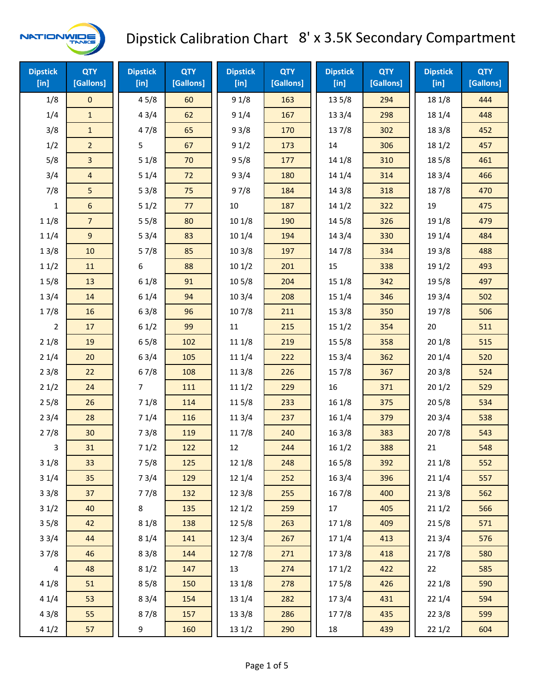

| <b>Dipstick</b><br>$[$ in] | <b>QTY</b><br>[Gallons] | <b>Dipstick</b><br>$[$ in] | <b>QTY</b><br>[Gallons] | <b>Dipstick</b><br>[in] | <b>QTY</b><br>[Gallons] | <b>Dipstick</b><br>$[$ in] | <b>QTY</b><br>[Gallons] | <b>Dipstick</b><br>[in] | <b>QTY</b><br>[Gallons] |
|----------------------------|-------------------------|----------------------------|-------------------------|-------------------------|-------------------------|----------------------------|-------------------------|-------------------------|-------------------------|
| 1/8                        | $\mathbf 0$             | 45/8                       | 60                      | 91/8                    | 163                     | 135/8                      | 294                     | 18 1/8                  | 444                     |
| 1/4                        | $\mathbf{1}$            | 43/4                       | 62                      | 91/4                    | 167                     | 13 3/4                     | 298                     | 18 1/4                  | 448                     |
| 3/8                        | $\mathbf{1}$            | 47/8                       | 65                      | 93/8                    | 170                     | 137/8                      | 302                     | 18 3/8                  | 452                     |
| 1/2                        | $\overline{2}$          | 5                          | 67                      | 91/2                    | 173                     | 14                         | 306                     | 18 1/2                  | 457                     |
| 5/8                        | $\overline{\mathbf{3}}$ | 51/8                       | 70                      | 95/8                    | 177                     | 14 1/8                     | 310                     | 185/8                   | 461                     |
| 3/4                        | $\overline{\mathbf{4}}$ | 51/4                       | 72                      | 93/4                    | 180                     | 14 1/4                     | 314                     | 18 3/4                  | 466                     |
| 7/8                        | 5                       | 53/8                       | 75                      | 97/8                    | 184                     | 14 3/8                     | 318                     | 187/8                   | 470                     |
| $\mathbf{1}$               | 6                       | 51/2                       | 77                      | 10                      | 187                     | 141/2                      | 322                     | 19                      | 475                     |
| 11/8                       | $\overline{7}$          | 55/8                       | 80                      | 10 1/8                  | 190                     | 14 5/8                     | 326                     | 19 1/8                  | 479                     |
| 11/4                       | $\overline{9}$          | 53/4                       | 83                      | 10 1/4                  | 194                     | 143/4                      | 330                     | 19 1/4                  | 484                     |
| 13/8                       | 10                      | 57/8                       | 85                      | 103/8                   | 197                     | 147/8                      | 334                     | 19 3/8                  | 488                     |
| 11/2                       | 11                      | 6                          | 88                      | 101/2                   | 201                     | 15                         | 338                     | 19 1/2                  | 493                     |
| 15/8                       | 13                      | 61/8                       | 91                      | 10 5/8                  | 204                     | 15 1/8                     | 342                     | 19 5/8                  | 497                     |
| 13/4                       | 14                      | 61/4                       | 94                      | 103/4                   | 208                     | 151/4                      | 346                     | 19 3/4                  | 502                     |
| 17/8                       | 16                      | 63/8                       | 96                      | 107/8                   | 211                     | 153/8                      | 350                     | 197/8                   | 506                     |
| 2                          | 17                      | 61/2                       | 99                      | 11                      | 215                     | 151/2                      | 354                     | 20                      | 511                     |
| 21/8                       | 19                      | 65/8                       | 102                     | 11 1/8                  | 219                     | 15 5/8                     | 358                     | 201/8                   | 515                     |
| 21/4                       | 20                      | 63/4                       | 105                     | 11 1/4                  | 222                     | 153/4                      | 362                     | 201/4                   | 520                     |
| 23/8                       | 22                      | 67/8                       | 108                     | 11 3/8                  | 226                     | 15 7/8                     | 367                     | 203/8                   | 524                     |
| 21/2                       | 24                      | $\overline{7}$             | 111                     | 111/2                   | 229                     | 16                         | 371                     | 201/2                   | 529                     |
| 25/8                       | 26                      | 71/8                       | 114                     | 115/8                   | 233                     | 161/8                      | 375                     | 205/8                   | 534                     |
| 23/4                       | 28                      | 71/4                       | 116                     | 11 3/4                  | 237                     | 16 1/4                     | 379                     | 203/4                   | 538                     |
| 27/8                       | 30                      | 73/8                       | 119                     | 11 7/8                  | 240                     | 163/8                      | 383                     | 207/8                   | 543                     |
| 3                          | 31                      | 71/2                       | 122                     | 12                      | 244                     | 161/2                      | 388                     | 21                      | 548                     |
| 31/8                       | 33                      | 75/8                       | 125                     | 12 1/8                  | 248                     | 165/8                      | 392                     | 21 1/8                  | 552                     |
| 31/4                       | 35                      | 73/4                       | 129                     | 12 1/4                  | 252                     | 16 3/4                     | 396                     | 211/4                   | 557                     |
| 33/8                       | 37                      | 77/8                       | 132                     | 12 3/8                  | 255                     | 16 7/8                     | 400                     | 213/8                   | 562                     |
| 31/2                       | 40                      | 8                          | 135                     | 121/2                   | 259                     | 17                         | 405                     | 211/2                   | 566                     |
| 35/8                       | 42                      | 81/8                       | 138                     | 125/8                   | 263                     | 17 1/8                     | 409                     | 215/8                   | 571                     |
| 33/4                       | 44                      | 81/4                       | 141                     | 123/4                   | 267                     | 17 1/4                     | 413                     | 213/4                   | 576                     |
| 37/8                       | 46                      | 83/8                       | 144                     | 127/8                   | 271                     | 173/8                      | 418                     | 217/8                   | 580                     |
| 4                          | 48                      | 81/2                       | 147                     | 13                      | 274                     | 171/2                      | 422                     | 22                      | 585                     |
| 41/8                       | 51                      | 85/8                       | 150                     | 13 1/8                  | 278                     | 175/8                      | 426                     | 221/8                   | 590                     |
| 41/4                       | 53                      | 83/4                       | 154                     | 13 1/4                  | 282                     | 17 3/4                     | 431                     | 221/4                   | 594                     |
| 43/8                       | 55                      | 87/8                       | 157                     | 13 3/8                  | 286                     | 17 7/8                     | 435                     | 223/8                   | 599                     |
| 41/2                       | 57                      | 9                          | 160                     | 13 1/2                  | 290                     | 18                         | 439                     | 221/2                   | 604                     |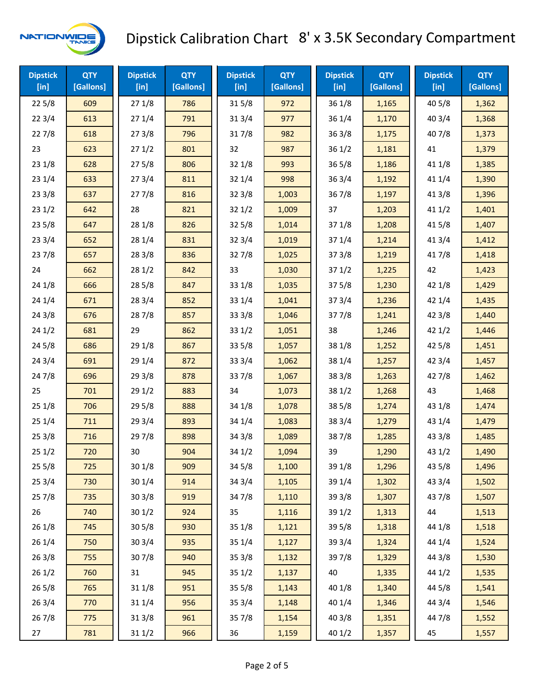

| <b>Dipstick</b><br>[in] | <b>QTY</b><br>[Gallons] | <b>Dipstick</b><br>[in] | <b>QTY</b><br>[Gallons] | <b>Dipstick</b><br>$[$ in] | <b>QTY</b><br>[Gallons] | <b>Dipstick</b><br>$[$ in] | <b>QTY</b><br>[Gallons] | <b>Dipstick</b><br>$[$ in] | <b>QTY</b><br>[Gallons] |
|-------------------------|-------------------------|-------------------------|-------------------------|----------------------------|-------------------------|----------------------------|-------------------------|----------------------------|-------------------------|
| 225/8                   | 609                     | 271/8                   | 786                     | 315/8                      | 972                     | 36 1/8                     | 1,165                   | 40 5/8                     | 1,362                   |
| 223/4                   | 613                     | 271/4                   | 791                     | 313/4                      | 977                     | 36 1/4                     | 1,170                   | 403/4                      | 1,368                   |
| 227/8                   | 618                     | 273/8                   | 796                     | 317/8                      | 982                     | 36 3/8                     | 1,175                   | 407/8                      | 1,373                   |
| 23                      | 623                     | 271/2                   | 801                     | 32                         | 987                     | 36 1/2                     | 1,181                   | 41                         | 1,379                   |
| 231/8                   | 628                     | 275/8                   | 806                     | 32 1/8                     | 993                     | 36 5/8                     | 1,186                   | 41 1/8                     | 1,385                   |
| 231/4                   | 633                     | 273/4                   | 811                     | 32 1/4                     | 998                     | 36 3/4                     | 1,192                   | 41 1/4                     | 1,390                   |
| 233/8                   | 637                     | 277/8                   | 816                     | 323/8                      | 1,003                   | 367/8                      | 1,197                   | 413/8                      | 1,396                   |
| 231/2                   | 642                     | 28                      | 821                     | 321/2                      | 1,009                   | 37                         | 1,203                   | 411/2                      | 1,401                   |
| 235/8                   | 647                     | 28 1/8                  | 826                     | 325/8                      | 1,014                   | 37 1/8                     | 1,208                   | 41 5/8                     | 1,407                   |
| 233/4                   | 652                     | 28 1/4                  | 831                     | 323/4                      | 1,019                   | 37 1/4                     | 1,214                   | 41 3/4                     | 1,412                   |
| 237/8                   | 657                     | 28 3/8                  | 836                     | 327/8                      | 1,025                   | 37 3/8                     | 1,219                   | 417/8                      | 1,418                   |
| 24                      | 662                     | 281/2                   | 842                     | 33                         | 1,030                   | 371/2                      | 1,225                   | 42                         | 1,423                   |
| 24 1/8                  | 666                     | 285/8                   | 847                     | 33 1/8                     | 1,035                   | 37 5/8                     | 1,230                   | 42 1/8                     | 1,429                   |
| 241/4                   | 671                     | 283/4                   | 852                     | 33 1/4                     | 1,041                   | 37 3/4                     | 1,236                   | 42 1/4                     | 1,435                   |
| 243/8                   | 676                     | 287/8                   | 857                     | 33 3/8                     | 1,046                   | 377/8                      | 1,241                   | 42 3/8                     | 1,440                   |
| 241/2                   | 681                     | 29                      | 862                     | 33 1/2                     | 1,051                   | 38                         | 1,246                   | 421/2                      | 1,446                   |
| 245/8                   | 686                     | 29 1/8                  | 867                     | 33 5/8                     | 1,057                   | 38 1/8                     | 1,252                   | 42 5/8                     | 1,451                   |
| 243/4                   | 691                     | 29 1/4                  | 872                     | 33 3/4                     | 1,062                   | 38 1/4                     | 1,257                   | 42 3/4                     | 1,457                   |
| 24 7/8                  | 696                     | 293/8                   | 878                     | 337/8                      | 1,067                   | 38 3/8                     | 1,263                   | 42 7/8                     | 1,462                   |
| 25                      | 701                     | 291/2                   | 883                     | 34                         | 1,073                   | 38 1/2                     | 1,268                   | 43                         | 1,468                   |
| 251/8                   | 706                     | 295/8                   | 888                     | 34 1/8                     | 1,078                   | 38 5/8                     | 1,274                   | 43 1/8                     | 1,474                   |
| 251/4                   | 711                     | 29 3/4                  | 893                     | 34 1/4                     | 1,083                   | 38 3/4                     | 1,279                   | 43 1/4                     | 1,479                   |
| 253/8                   | 716                     | 29 7/8                  | 898                     | 34 3/8                     | 1,089                   | 387/8                      | 1,285                   | 43 3/8                     | 1,485                   |
| 251/2                   | 720                     | 30                      | 904                     | 34 1/2                     | 1,094                   | 39                         | 1,290                   | 43 1/2                     | 1,490                   |
| 255/8                   | 725                     | 301/8                   | 909                     | 34 5/8                     | 1,100                   | 39 1/8                     | 1,296                   | 43 5/8                     | 1,496                   |
| 253/4                   | 730                     | 301/4                   | 914                     | 34 3/4                     | 1,105                   | 39 1/4                     | 1,302                   | 43 3/4                     | 1,502                   |
| 257/8                   | 735                     | 303/8                   | 919                     | 347/8                      | 1,110                   | 39 3/8                     | 1,307                   | 437/8                      | 1,507                   |
| 26                      | 740                     | 30 1/2                  | 924                     | 35                         | 1,116                   | 39 1/2                     | 1,313                   | 44                         | 1,513                   |
| 261/8                   | 745                     | 30 5/8                  | 930                     | 35 1/8                     | 1,121                   | 39 5/8                     | 1,318                   | 44 1/8                     | 1,518                   |
| 26 1/4                  | 750                     | 303/4                   | 935                     | 35 1/4                     | 1,127                   | 39 3/4                     | 1,324                   | 44 1/4                     | 1,524                   |
| 263/8                   | 755                     | 307/8                   | 940                     | 35 3/8                     | 1,132                   | 397/8                      | 1,329                   | 44 3/8                     | 1,530                   |
| 261/2                   | 760                     | 31                      | 945                     | 35 1/2                     | 1,137                   | 40                         | 1,335                   | 44 1/2                     | 1,535                   |
| 265/8                   | 765                     | 31 1/8                  | 951                     | 35 5/8                     | 1,143                   | 40 1/8                     | 1,340                   | 44 5/8                     | 1,541                   |
| 263/4                   | 770                     | 31 1/4                  | 956                     | 353/4                      | 1,148                   | 40 1/4                     | 1,346                   | 44 3/4                     | 1,546                   |
| 267/8                   | 775                     | 31 3/8                  | 961                     | 357/8                      | 1,154                   | 40 3/8                     | 1,351                   | 447/8                      | 1,552                   |
| 27                      | 781                     | 311/2                   | 966                     | 36                         | 1,159                   | 40 1/2                     | 1,357                   | 45                         | 1,557                   |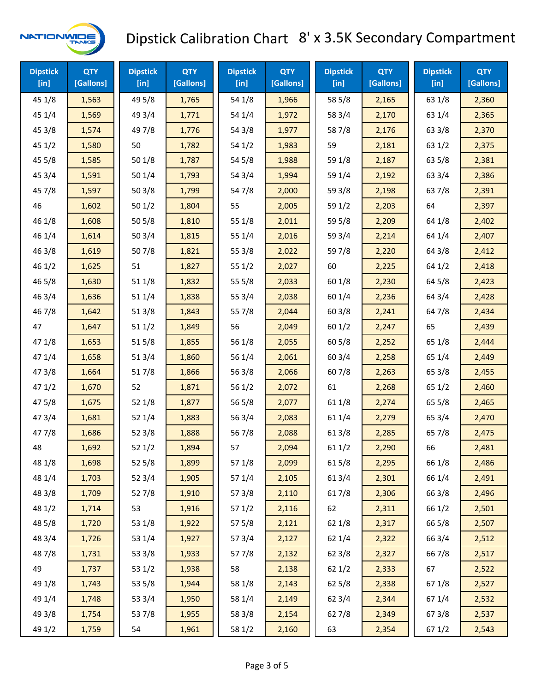

| <b>Dipstick</b><br>$[$ in] | <b>QTY</b><br>[Gallons] | <b>Dipstick</b><br>$[$ in] | <b>QTY</b><br>[Gallons] | <b>Dipstick</b><br>$[$ in] | <b>QTY</b><br>[Gallons] | <b>Dipstick</b><br>$[$ in] | <b>QTY</b><br>[Gallons] | <b>Dipstick</b><br>$[$ in] | <b>QTY</b><br>[Gallons] |
|----------------------------|-------------------------|----------------------------|-------------------------|----------------------------|-------------------------|----------------------------|-------------------------|----------------------------|-------------------------|
| 45 1/8                     | 1,563                   | 49 5/8                     | 1,765                   | 54 1/8                     | 1,966                   | 58 5/8                     | 2,165                   | 63 1/8                     | 2,360                   |
| 45 1/4                     | 1,569                   | 49 3/4                     | 1,771                   | 54 1/4                     | 1,972                   | 58 3/4                     | 2,170                   | 63 1/4                     | 2,365                   |
| 45 3/8                     | 1,574                   | 49 7/8                     | 1,776                   | 54 3/8                     | 1,977                   | 587/8                      | 2,176                   | 63 3/8                     | 2,370                   |
| 451/2                      | 1,580                   | 50                         | 1,782                   | 541/2                      | 1,983                   | 59                         | 2,181                   | 63 1/2                     | 2,375                   |
| 45 5/8                     | 1,585                   | 50 1/8                     | 1,787                   | 54 5/8                     | 1,988                   | 59 1/8                     | 2,187                   | 63 5/8                     | 2,381                   |
| 453/4                      | 1,591                   | 50 1/4                     | 1,793                   | 54 3/4                     | 1,994                   | 59 1/4                     | 2,192                   | 63 3/4                     | 2,386                   |
| 45 7/8                     | 1,597                   | 503/8                      | 1,799                   | 547/8                      | 2,000                   | 59 3/8                     | 2,198                   | 637/8                      | 2,391                   |
| 46                         | 1,602                   | 501/2                      | 1,804                   | 55                         | 2,005                   | 59 1/2                     | 2,203                   | 64                         | 2,397                   |
| 46 1/8                     | 1,608                   | 505/8                      | 1,810                   | 55 1/8                     | 2,011                   | 59 5/8                     | 2,209                   | 64 1/8                     | 2,402                   |
| 46 1/4                     | 1,614                   | 503/4                      | 1,815                   | 55 1/4                     | 2,016                   | 59 3/4                     | 2,214                   | 64 1/4                     | 2,407                   |
| 46 3/8                     | 1,619                   | 507/8                      | 1,821                   | 55 3/8                     | 2,022                   | 597/8                      | 2,220                   | 64 3/8                     | 2,412                   |
| 46 1/2                     | 1,625                   | 51                         | 1,827                   | 551/2                      | 2,027                   | 60                         | 2,225                   | 64 1/2                     | 2,418                   |
| 46 5/8                     | 1,630                   | 51 1/8                     | 1,832                   | 55 5/8                     | 2,033                   | 60 1/8                     | 2,230                   | 64 5/8                     | 2,423                   |
| 46 3/4                     | 1,636                   | 51 1/4                     | 1,838                   | 55 3/4                     | 2,038                   | 60 1/4                     | 2,236                   | 64 3/4                     | 2,428                   |
| 46 7/8                     | 1,642                   | 513/8                      | 1,843                   | 55 7/8                     | 2,044                   | 603/8                      | 2,241                   | 64 7/8                     | 2,434                   |
| 47                         | 1,647                   | 511/2                      | 1,849                   | 56                         | 2,049                   | 601/2                      | 2,247                   | 65                         | 2,439                   |
| 47 1/8                     | 1,653                   | 515/8                      | 1,855                   | 56 1/8                     | 2,055                   | 605/8                      | 2,252                   | 65 1/8                     | 2,444                   |
| 47 1/4                     | 1,658                   | 513/4                      | 1,860                   | 56 1/4                     | 2,061                   | 60 3/4                     | 2,258                   | 65 1/4                     | 2,449                   |
| 47 3/8                     | 1,664                   | 517/8                      | 1,866                   | 56 3/8                     | 2,066                   | 607/8                      | 2,263                   | 65 3/8                     | 2,455                   |
| 471/2                      | 1,670                   | 52                         | 1,871                   | 56 1/2                     | 2,072                   | 61                         | 2,268                   | 65 1/2                     | 2,460                   |
| 475/8                      | 1,675                   | 52 1/8                     | 1,877                   | 56 5/8                     | 2,077                   | 61 1/8                     | 2,274                   | 65 5/8                     | 2,465                   |
| 473/4                      | 1,681                   | 52 1/4                     | 1,883                   | 56 3/4                     | 2,083                   | 61 1/4                     | 2,279                   | 65 3/4                     | 2,470                   |
| 47 7/8                     | 1,686                   | 523/8                      | 1,888                   | 567/8                      | 2,088                   | 61 3/8                     | 2,285                   | 65 7/8                     | 2,475                   |
| 48                         | 1,692                   | 521/2                      | 1,894                   | 57                         | 2,094                   | 611/2                      | 2,290                   | 66                         | 2,481                   |
| 48 1/8                     | 1,698                   | 525/8                      | 1,899                   | 57 1/8                     | 2,099                   | 615/8                      | 2,295                   | 66 1/8                     | 2,486                   |
| 48 1/4                     | 1,703                   | 52 3/4                     | 1,905                   | 57 1/4                     | 2,105                   | 613/4                      | 2,301                   | 66 1/4                     | 2,491                   |
| 48 3/8                     | 1,709                   | 527/8                      | 1,910                   | 57 3/8                     | 2,110                   | 617/8                      | 2,306                   | 66 3/8                     | 2,496                   |
| 48 1/2                     | 1,714                   | 53                         | 1,916                   | 571/2                      | 2,116                   | 62                         | 2,311                   | 66 1/2                     | 2,501                   |
| 48 5/8                     | 1,720                   | 53 1/8                     | 1,922                   | 57 5/8                     | 2,121                   | 62 1/8                     | 2,317                   | 66 5/8                     | 2,507                   |
| 48 3/4                     | 1,726                   | 53 1/4                     | 1,927                   | 573/4                      | 2,127                   | 62 1/4                     | 2,322                   | 66 3/4                     | 2,512                   |
| 487/8                      | 1,731                   | 53 3/8                     | 1,933                   | 577/8                      | 2,132                   | 62 3/8                     | 2,327                   | 66 7/8                     | 2,517                   |
| 49                         | 1,737                   | 53 1/2                     | 1,938                   | 58                         | 2,138                   | 621/2                      | 2,333                   | 67                         | 2,522                   |
| 49 1/8                     | 1,743                   | 53 5/8                     | 1,944                   | 58 1/8                     | 2,143                   | 62 5/8                     | 2,338                   | 671/8                      | 2,527                   |
| 49 1/4                     | 1,748                   | 53 3/4                     | 1,950                   | 58 1/4                     | 2,149                   | 62 3/4                     | 2,344                   | 67 1/4                     | 2,532                   |
| 49 3/8                     | 1,754                   | 537/8                      | 1,955                   | 58 3/8                     | 2,154                   | 627/8                      | 2,349                   | 673/8                      | 2,537                   |
| 49 1/2                     | 1,759                   | 54                         | 1,961                   | 58 1/2                     | 2,160                   | 63                         | 2,354                   | 67 1/2                     | 2,543                   |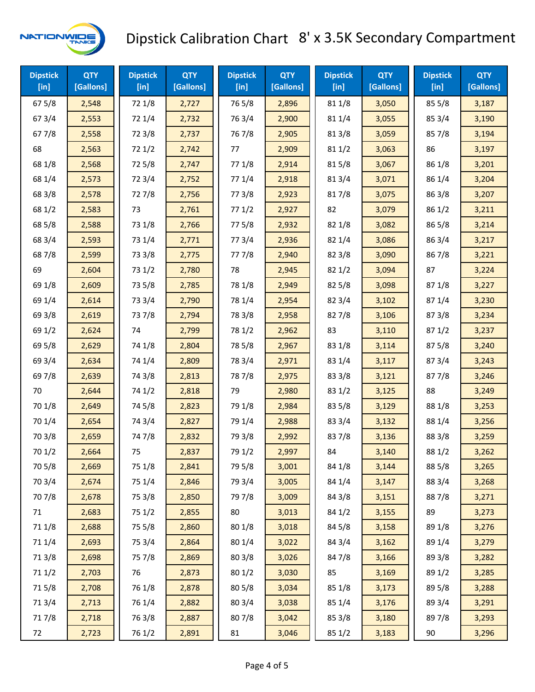

| <b>Dipstick</b><br>$[$ in] | <b>QTY</b><br>[Gallons] | <b>Dipstick</b><br>$[$ in] | <b>QTY</b><br>[Gallons] | <b>Dipstick</b><br>$[$ in] | <b>QTY</b><br>[Gallons] | <b>Dipstick</b><br>$[$ in] | <b>QTY</b><br>[Gallons] | <b>Dipstick</b><br>[in] | <b>QTY</b><br>[Gallons] |
|----------------------------|-------------------------|----------------------------|-------------------------|----------------------------|-------------------------|----------------------------|-------------------------|-------------------------|-------------------------|
| 675/8                      | 2,548                   | 72 1/8                     | 2,727                   | 765/8                      | 2,896                   | 81 1/8                     | 3,050                   | 855/8                   | 3,187                   |
| 67 3/4                     | 2,553                   | 72 1/4                     | 2,732                   | 763/4                      | 2,900                   | 81 1/4                     | 3,055                   | 85 3/4                  | 3,190                   |
| 677/8                      | 2,558                   | 72 3/8                     | 2,737                   | 767/8                      | 2,905                   | 81 3/8                     | 3,059                   | 857/8                   | 3,194                   |
| 68                         | 2,563                   | 72 1/2                     | 2,742                   | 77                         | 2,909                   | 81 1/2                     | 3,063                   | 86                      | 3,197                   |
| 68 1/8                     | 2,568                   | 725/8                      | 2,747                   | 77 1/8                     | 2,914                   | 815/8                      | 3,067                   | 86 1/8                  | 3,201                   |
| 68 1/4                     | 2,573                   | 72 3/4                     | 2,752                   | 77 1/4                     | 2,918                   | 813/4                      | 3,071                   | 86 1/4                  | 3,204                   |
| 68 3/8                     | 2,578                   | 727/8                      | 2,756                   | 77 3/8                     | 2,923                   | 817/8                      | 3,075                   | 86 3/8                  | 3,207                   |
| 68 1/2                     | 2,583                   | 73                         | 2,761                   | 771/2                      | 2,927                   | 82                         | 3,079                   | 86 1/2                  | 3,211                   |
| 68 5/8                     | 2,588                   | 73 1/8                     | 2,766                   | 775/8                      | 2,932                   | 82 1/8                     | 3,082                   | 86 5/8                  | 3,214                   |
| 68 3/4                     | 2,593                   | 73 1/4                     | 2,771                   | 773/4                      | 2,936                   | 82 1/4                     | 3,086                   | 86 3/4                  | 3,217                   |
| 687/8                      | 2,599                   | 73 3/8                     | 2,775                   | 777/8                      | 2,940                   | 82 3/8                     | 3,090                   | 867/8                   | 3,221                   |
| 69                         | 2,604                   | 73 1/2                     | 2,780                   | 78                         | 2,945                   | 821/2                      | 3,094                   | 87                      | 3,224                   |
| 69 1/8                     | 2,609                   | 73 5/8                     | 2,785                   | 78 1/8                     | 2,949                   | 82 5/8                     | 3,098                   | 871/8                   | 3,227                   |
| 69 1/4                     | 2,614                   | 73 3/4                     | 2,790                   | 78 1/4                     | 2,954                   | 82 3/4                     | 3,102                   | 871/4                   | 3,230                   |
| 69 3/8                     | 2,619                   | 737/8                      | 2,794                   | 78 3/8                     | 2,958                   | 827/8                      | 3,106                   | 87 3/8                  | 3,234                   |
| 69 1/2                     | 2,624                   | 74                         | 2,799                   | 78 1/2                     | 2,962                   | 83                         | 3,110                   | 871/2                   | 3,237                   |
| 69 5/8                     | 2,629                   | 74 1/8                     | 2,804                   | 78 5/8                     | 2,967                   | 83 1/8                     | 3,114                   | 875/8                   | 3,240                   |
| 69 3/4                     | 2,634                   | 74 1/4                     | 2,809                   | 78 3/4                     | 2,971                   | 83 1/4                     | 3,117                   | 87 3/4                  | 3,243                   |
| 697/8                      | 2,639                   | 74 3/8                     | 2,813                   | 787/8                      | 2,975                   | 83 3/8                     | 3,121                   | 877/8                   | 3,246                   |
| 70                         | 2,644                   | 74 1/2                     | 2,818                   | 79                         | 2,980                   | 83 1/2                     | 3,125                   | 88                      | 3,249                   |
| 70 1/8                     | 2,649                   | 74 5/8                     | 2,823                   | 79 1/8                     | 2,984                   | 83 5/8                     | 3,129                   | 88 1/8                  | 3,253                   |
| 70 1/4                     | 2,654                   | 74 3/4                     | 2,827                   | 79 1/4                     | 2,988                   | 83 3/4                     | 3,132                   | 88 1/4                  | 3,256                   |
| 70 3/8                     | 2,659                   | 74 7/8                     | 2,832                   | 79 3/8                     | 2,992                   | 837/8                      | 3,136                   | 88 3/8                  | 3,259                   |
| 70 1/2                     | 2,664                   | 75                         | 2,837                   | 79 1/2                     | 2,997                   | 84                         | 3,140                   | 88 1/2                  | 3,262                   |
| 70 5/8                     | 2,669                   | 75 1/8                     | 2,841                   | 79 5/8                     | 3,001                   | 84 1/8                     | 3,144                   | 88 5/8                  | 3,265                   |
| 70 3/4                     | 2,674                   | 75 1/4                     | 2,846                   | 79 3/4                     | 3,005                   | 84 1/4                     | 3,147                   | 88 3/4                  | 3,268                   |
| 70 7/8                     | 2,678                   | 75 3/8                     | 2,850                   | 79 7/8                     | 3,009                   | 84 3/8                     | 3,151                   | 887/8                   | 3,271                   |
| 71                         | 2,683                   | 75 1/2                     | 2,855                   | $80\,$                     | 3,013                   | 84 1/2                     | 3,155                   | 89                      | 3,273                   |
| 71 1/8                     | 2,688                   | 75 5/8                     | 2,860                   | 80 1/8                     | 3,018                   | 84 5/8                     | 3,158                   | 89 1/8                  | 3,276                   |
| 71 1/4                     | 2,693                   | 75 3/4                     | 2,864                   | 80 1/4                     | 3,022                   | 84 3/4                     | 3,162                   | 89 1/4                  | 3,279                   |
| 713/8                      | 2,698                   | 75 7/8                     | 2,869                   | 803/8                      | 3,026                   | 847/8                      | 3,166                   | 89 3/8                  | 3,282                   |
| 71 1/2                     | 2,703                   | 76                         | 2,873                   | 80 1/2                     | 3,030                   | 85                         | 3,169                   | 89 1/2                  | 3,285                   |
| 715/8                      | 2,708                   | 76 1/8                     | 2,878                   | 80 5/8                     | 3,034                   | 85 1/8                     | 3,173                   | 89 5/8                  | 3,288                   |
| 713/4                      | 2,713                   | 76 1/4                     | 2,882                   | 80 3/4                     | 3,038                   | 85 1/4                     | 3,176                   | 89 3/4                  | 3,291                   |
| 717/8                      | 2,718                   | 763/8                      | 2,887                   | 807/8                      | 3,042                   | 85 3/8                     | 3,180                   | 89 7/8                  | 3,293                   |
| 72                         | 2,723                   | 76 1/2                     | 2,891                   | 81                         | 3,046                   | 85 1/2                     | 3,183                   | 90                      | 3,296                   |